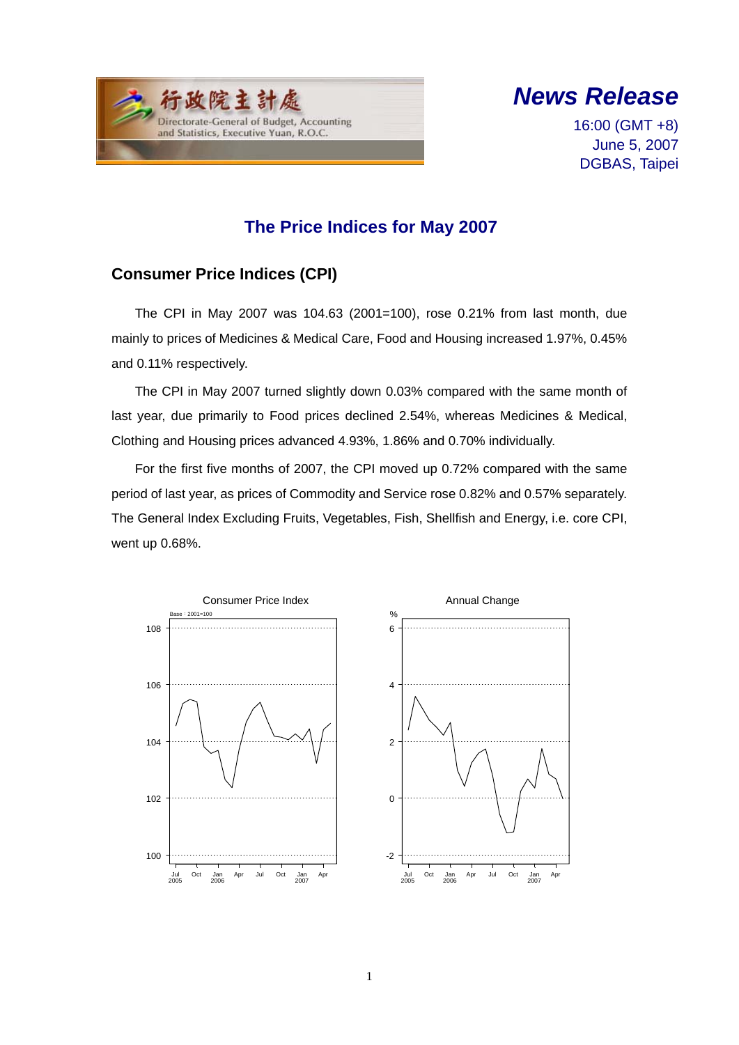



16:00 (GMT +8) June 5, 2007 DGBAS, Taipei

## **The Price Indices for May 2007**

## **Consumer Price Indices (CPI)**

The CPI in May 2007 was 104.63 (2001=100), rose 0.21% from last month, due mainly to prices of Medicines & Medical Care, Food and Housing increased 1.97%, 0.45% and 0.11% respectively.

The CPI in May 2007 turned slightly down 0.03% compared with the same month of last year, due primarily to Food prices declined 2.54%, whereas Medicines & Medical, Clothing and Housing prices advanced 4.93%, 1.86% and 0.70% individually.

For the first five months of 2007, the CPI moved up 0.72% compared with the same period of last year, as prices of Commodity and Service rose 0.82% and 0.57% separately. The General Index Excluding Fruits, Vegetables, Fish, Shellfish and Energy, i.e. core CPI, went up 0.68%.



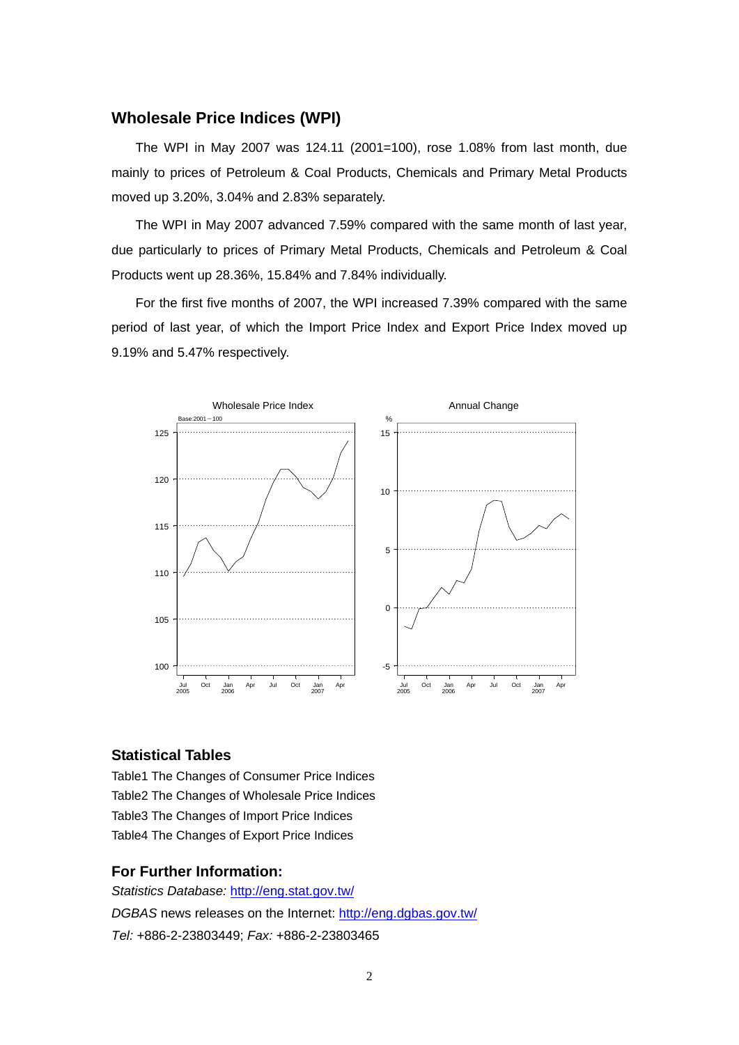### **Wholesale Price Indices (WPI)**

The WPI in May 2007 was 124.11 (2001=100), rose 1.08% from last month, due mainly to prices of Petroleum & Coal Products, Chemicals and Primary Metal Products moved up 3.20%, 3.04% and 2.83% separately.

The WPI in May 2007 advanced 7.59% compared with the same month of last year, due particularly to prices of Primary Metal Products, Chemicals and Petroleum & Coal Products went up 28.36%, 15.84% and 7.84% individually.

For the first five months of 2007, the WPI increased 7.39% compared with the same period of last year, of which the Import Price Index and Export Price Index moved up 9.19% and 5.47% respectively.



#### **Statistical Tables**

Table1 The Changes of Consumer Price Indices Table2 The Changes of Wholesale Price Indices Table3 The Changes of Import Price Indices Table4 The Changes of Export Price Indices

#### **For Further Information:**

*Statistics Database:* http://eng.stat.gov.tw/ *DGBAS* news releases on the Internet: http://eng.dgbas.gov.tw/ *Tel:* +886-2-23803449; *Fax:* +886-2-23803465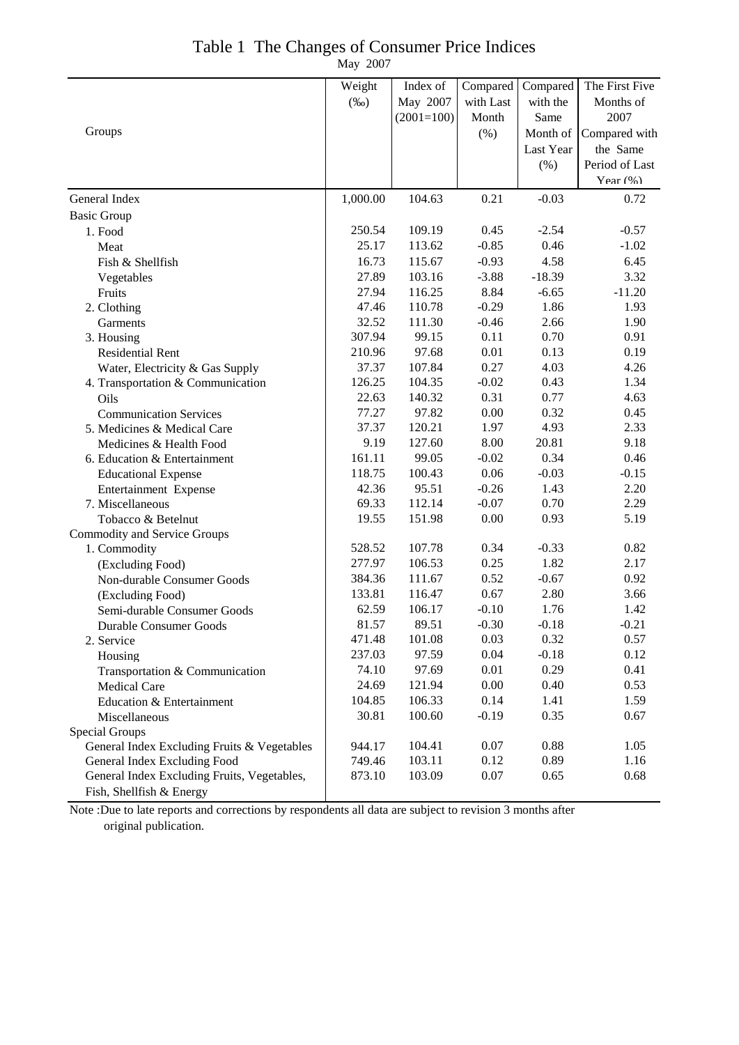| Table 1 The Changes of Consumer Price Indices |
|-----------------------------------------------|
| May 2007                                      |

|                                             | Weight   | Index of     | Compared  | Compared  | The First Five |
|---------------------------------------------|----------|--------------|-----------|-----------|----------------|
|                                             | $(\%0)$  | May 2007     | with Last | with the  | Months of      |
|                                             |          | $(2001=100)$ | Month     | Same      | 2007           |
| Groups                                      |          |              | (%)       | Month of  | Compared with  |
|                                             |          |              |           | Last Year | the Same       |
|                                             |          |              |           | (% )      | Period of Last |
|                                             |          |              |           |           | Year $(% )$    |
| General Index                               | 1,000.00 | 104.63       | 0.21      | $-0.03$   | 0.72           |
| <b>Basic Group</b>                          |          |              |           |           |                |
| 1. Food                                     | 250.54   | 109.19       | 0.45      | $-2.54$   | $-0.57$        |
| Meat                                        | 25.17    | 113.62       | $-0.85$   | 0.46      | $-1.02$        |
| Fish & Shellfish                            | 16.73    | 115.67       | $-0.93$   | 4.58      | 6.45           |
| Vegetables                                  | 27.89    | 103.16       | $-3.88$   | $-18.39$  | 3.32           |
| Fruits                                      | 27.94    | 116.25       | 8.84      | $-6.65$   | $-11.20$       |
| 2. Clothing                                 | 47.46    | 110.78       | $-0.29$   | 1.86      | 1.93           |
| Garments                                    | 32.52    | 111.30       | $-0.46$   | 2.66      | 1.90           |
| 3. Housing                                  | 307.94   | 99.15        | 0.11      | 0.70      | 0.91           |
| Residential Rent                            | 210.96   | 97.68        | 0.01      | 0.13      | 0.19           |
| Water, Electricity & Gas Supply             | 37.37    | 107.84       | 0.27      | 4.03      | 4.26           |
| 4. Transportation & Communication           | 126.25   | 104.35       | $-0.02$   | 0.43      | 1.34           |
| Oils                                        | 22.63    | 140.32       | 0.31      | 0.77      | 4.63           |
| <b>Communication Services</b>               | 77.27    | 97.82        | 0.00      | 0.32      | 0.45           |
| 5. Medicines & Medical Care                 | 37.37    | 120.21       | 1.97      | 4.93      | 2.33           |
| Medicines & Health Food                     | 9.19     | 127.60       | 8.00      | 20.81     | 9.18           |
| 6. Education & Entertainment                | 161.11   | 99.05        | $-0.02$   | 0.34      | 0.46           |
| <b>Educational Expense</b>                  | 118.75   | 100.43       | 0.06      | $-0.03$   | $-0.15$        |
| <b>Entertainment Expense</b>                | 42.36    | 95.51        | $-0.26$   | 1.43      | 2.20           |
| 7. Miscellaneous                            | 69.33    | 112.14       | $-0.07$   | 0.70      | 2.29           |
| Tobacco & Betelnut                          | 19.55    | 151.98       | 0.00      | 0.93      | 5.19           |
| Commodity and Service Groups                |          |              |           |           |                |
| 1. Commodity                                | 528.52   | 107.78       | 0.34      | $-0.33$   | 0.82           |
| (Excluding Food)                            | 277.97   | 106.53       | 0.25      | 1.82      | 2.17           |
| Non-durable Consumer Goods                  | 384.36   | 111.67       | 0.52      | $-0.67$   | 0.92           |
| (Excluding Food)                            | 133.81   | 116.47       | 0.67      | 2.80      | 3.66           |
| Semi-durable Consumer Goods                 | 62.59    | 106.17       | $-0.10$   | 1.76      | 1.42           |
| Durable Consumer Goods                      | 81.57    | 89.51        | $-0.30$   | $-0.18$   | $-0.21$        |
| 2. Service                                  | 471.48   | 101.08       | 0.03      | 0.32      | 0.57           |
| Housing                                     | 237.03   | 97.59        | 0.04      | $-0.18$   | 0.12           |
| Transportation & Communication              | 74.10    | 97.69        | 0.01      | 0.29      | 0.41           |
| Medical Care                                | 24.69    | 121.94       | 0.00      | 0.40      | 0.53           |
| Education & Entertainment                   | 104.85   | 106.33       | 0.14      | 1.41      | 1.59           |
| Miscellaneous                               | 30.81    | 100.60       | $-0.19$   | 0.35      | 0.67           |
| Special Groups                              |          |              |           |           |                |
| General Index Excluding Fruits & Vegetables | 944.17   | 104.41       | 0.07      | 0.88      | 1.05           |
| General Index Excluding Food                | 749.46   | 103.11       | 0.12      | 0.89      | 1.16           |
| General Index Excluding Fruits, Vegetables, | 873.10   | 103.09       | 0.07      | 0.65      | 0.68           |
| Fish, Shellfish & Energy                    |          |              |           |           |                |

Note :Due to late reports and corrections by respondents all data are subject to revision 3 months after original publication.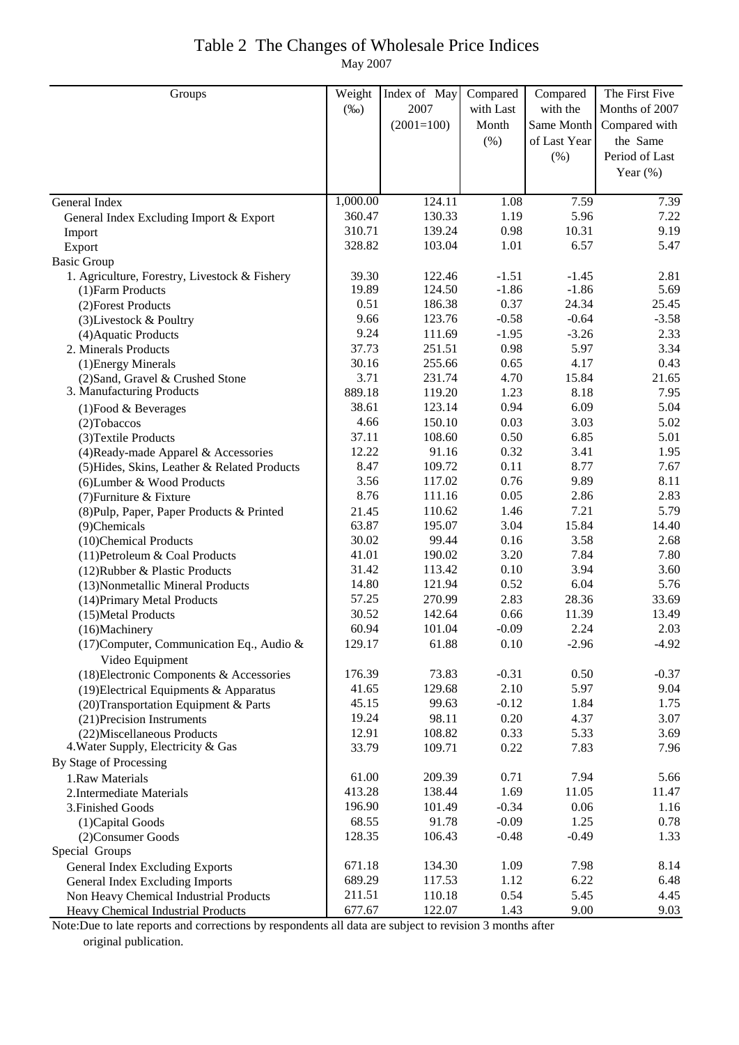### Table 2 The Changes of Wholesale Price Indices May 2007

| Groups                                        | Weight   | Index of May | Compared  | Compared     | The First Five |
|-----------------------------------------------|----------|--------------|-----------|--------------|----------------|
|                                               | $(\%0)$  | 2007         | with Last | with the     | Months of 2007 |
|                                               |          | $(2001=100)$ | Month     | Same Month   | Compared with  |
|                                               |          |              | (% )      | of Last Year | the Same       |
|                                               |          |              |           | $(\% )$      | Period of Last |
|                                               |          |              |           |              | Year $(\%)$    |
|                                               |          |              |           |              |                |
| General Index                                 | 1,000.00 | 124.11       | 1.08      | 7.59         | 7.39           |
| General Index Excluding Import & Export       | 360.47   | 130.33       | 1.19      | 5.96         | 7.22           |
| Import                                        | 310.71   | 139.24       | 0.98      | 10.31        | 9.19           |
| Export                                        | 328.82   | 103.04       | 1.01      | 6.57         | 5.47           |
| <b>Basic Group</b>                            |          |              |           |              |                |
| 1. Agriculture, Forestry, Livestock & Fishery | 39.30    | 122.46       | $-1.51$   | $-1.45$      | 2.81           |
| (1) Farm Products                             | 19.89    | 124.50       | $-1.86$   | $-1.86$      | 5.69           |
| (2) Forest Products                           | 0.51     | 186.38       | 0.37      | 24.34        | 25.45          |
| (3) Livestock & Poultry                       | 9.66     | 123.76       | $-0.58$   | $-0.64$      | $-3.58$        |
| (4) Aquatic Products                          | 9.24     | 111.69       | $-1.95$   | $-3.26$      | 2.33           |
| 2. Minerals Products                          | 37.73    | 251.51       | 0.98      | 5.97         | 3.34           |
| (1) Energy Minerals                           | 30.16    | 255.66       | 0.65      | 4.17         | 0.43           |
| (2) Sand, Gravel & Crushed Stone              | 3.71     | 231.74       | 4.70      | 15.84        | 21.65          |
| 3. Manufacturing Products                     | 889.18   | 119.20       | 1.23      | 8.18         | 7.95           |
| $(1)$ Food & Beverages                        | 38.61    | 123.14       | 0.94      | 6.09         | 5.04           |
| $(2)$ Tobaccos                                | 4.66     | 150.10       | 0.03      | 3.03         | 5.02           |
| (3) Textile Products                          | 37.11    | 108.60       | 0.50      | 6.85         | 5.01           |
| (4) Ready-made Apparel & Accessories          | 12.22    | 91.16        | 0.32      | 3.41         | 1.95           |
| (5) Hides, Skins, Leather & Related Products  | 8.47     | 109.72       | 0.11      | 8.77         | 7.67           |
| (6) Lumber & Wood Products                    | 3.56     | 117.02       | 0.76      | 9.89         | 8.11           |
| (7) Furniture & Fixture                       | 8.76     | 111.16       | 0.05      | 2.86         | 2.83           |
| (8) Pulp, Paper, Paper Products & Printed     | 21.45    | 110.62       | 1.46      | 7.21         | 5.79           |
| (9)Chemicals                                  | 63.87    | 195.07       | 3.04      | 15.84        | 14.40          |
| (10)Chemical Products                         | 30.02    | 99.44        | 0.16      | 3.58         | 2.68           |
| (11) Petroleum & Coal Products                | 41.01    | 190.02       | 3.20      | 7.84         | 7.80           |
| (12) Rubber & Plastic Products                | 31.42    | 113.42       | 0.10      | 3.94         | 3.60           |
| (13) Nonmetallic Mineral Products             | 14.80    | 121.94       | 0.52      | 6.04         | 5.76           |
| (14) Primary Metal Products                   | 57.25    | 270.99       | 2.83      | 28.36        | 33.69          |
| (15) Metal Products                           | 30.52    | 142.64       | 0.66      | 11.39        | 13.49          |
| (16)Machinery                                 | 60.94    | 101.04       | $-0.09$   | 2.24         | 2.03           |
| (17) Computer, Communication Eq., Audio &     | 129.17   | 61.88        | 0.10      | $-2.96$      | $-4.92$        |
| Video Equipment                               |          |              |           |              |                |
| (18) Electronic Components & Accessories      | 176.39   | 73.83        | $-0.31$   | 0.50         | $-0.37$        |
| (19) Electrical Equipments & Apparatus        | 41.65    | 129.68       | 2.10      | 5.97         | 9.04           |
| (20) Transportation Equipment & Parts         | 45.15    | 99.63        | $-0.12$   | 1.84         | 1.75           |
| (21) Precision Instruments                    | 19.24    | 98.11        | 0.20      | 4.37         | 3.07           |
| (22) Miscellaneous Products                   | 12.91    | 108.82       | 0.33      | 5.33         | 3.69           |
| 4. Water Supply, Electricity & Gas            | 33.79    | 109.71       | 0.22      | 7.83         | 7.96           |
| By Stage of Processing                        |          |              |           |              |                |
| 1.Raw Materials                               | 61.00    | 209.39       | 0.71      | 7.94         | 5.66           |
| 2. Intermediate Materials                     | 413.28   | 138.44       | 1.69      | 11.05        | 11.47          |
| 3. Finished Goods                             | 196.90   | 101.49       | $-0.34$   | 0.06         | 1.16           |
| (1) Capital Goods                             | 68.55    | 91.78        | $-0.09$   | 1.25         | 0.78           |
| (2) Consumer Goods                            | 128.35   | 106.43       | $-0.48$   | $-0.49$      | 1.33           |
| Special Groups                                |          |              |           |              |                |
| General Index Excluding Exports               | 671.18   | 134.30       | 1.09      | 7.98         | 8.14           |
| <b>General Index Excluding Imports</b>        | 689.29   | 117.53       | 1.12      | 6.22         | 6.48           |
| Non Heavy Chemical Industrial Products        | 211.51   | 110.18       | 0.54      | 5.45         | 4.45           |
| Heavy Chemical Industrial Products            | 677.67   | 122.07       | 1.43      | 9.00         | 9.03           |

Note:Due to late reports and corrections by respondents all data are subject to revision 3 months after original publication.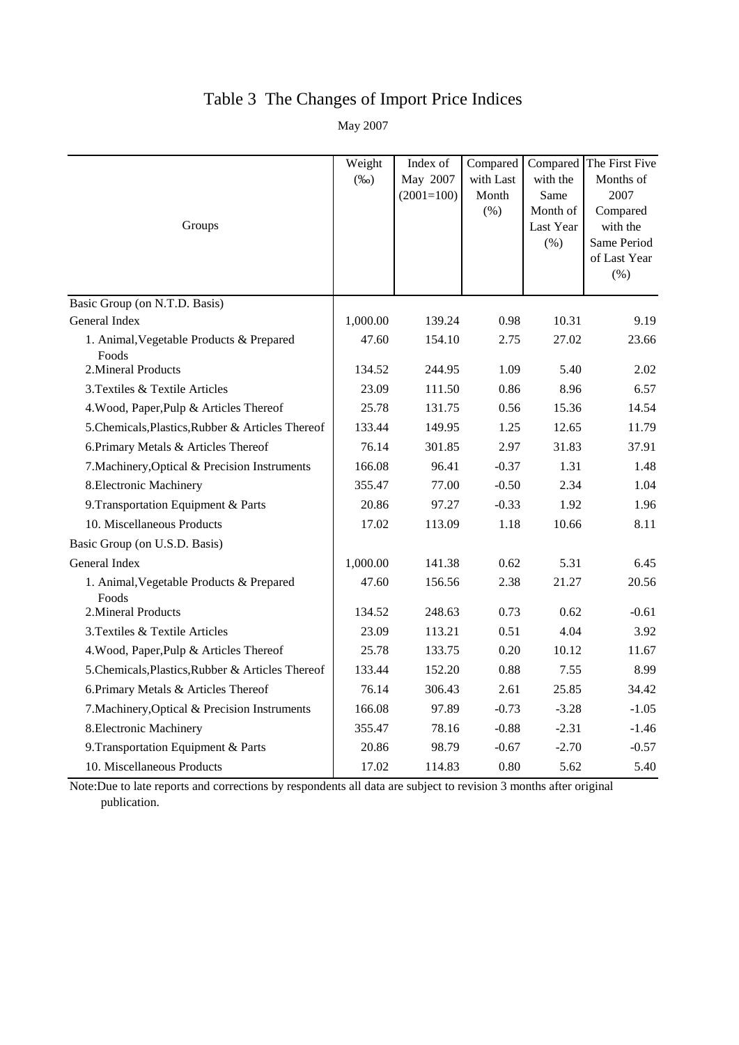# Table 3 The Changes of Import Price Indices

May 2007

|                                                   | Weight<br>$(\%0)$ | Index of<br>May 2007 | Compared<br>with Last | with the                                 | Compared The First Five<br>Months of                                   |
|---------------------------------------------------|-------------------|----------------------|-----------------------|------------------------------------------|------------------------------------------------------------------------|
| Groups                                            |                   | $(2001=100)$         | Month<br>(% )         | Same<br>Month of<br>Last Year<br>$(\% )$ | 2007<br>Compared<br>with the<br>Same Period<br>of Last Year<br>$(\% )$ |
| Basic Group (on N.T.D. Basis)                     |                   |                      |                       |                                          |                                                                        |
| General Index                                     | 1,000.00          | 139.24               | 0.98                  | 10.31                                    | 9.19                                                                   |
| 1. Animal, Vegetable Products & Prepared<br>Foods | 47.60             | 154.10               | 2.75                  | 27.02                                    | 23.66                                                                  |
| 2. Mineral Products                               | 134.52            | 244.95               | 1.09                  | 5.40                                     | 2.02                                                                   |
| 3. Textiles & Textile Articles                    | 23.09             | 111.50               | 0.86                  | 8.96                                     | 6.57                                                                   |
| 4. Wood, Paper, Pulp & Articles Thereof           | 25.78             | 131.75               | 0.56                  | 15.36                                    | 14.54                                                                  |
| 5. Chemicals, Plastics, Rubber & Articles Thereof | 133.44            | 149.95               | 1.25                  | 12.65                                    | 11.79                                                                  |
| 6. Primary Metals & Articles Thereof              | 76.14             | 301.85               | 2.97                  | 31.83                                    | 37.91                                                                  |
| 7. Machinery, Optical & Precision Instruments     | 166.08            | 96.41                | $-0.37$               | 1.31                                     | 1.48                                                                   |
| 8. Electronic Machinery                           | 355.47            | 77.00                | $-0.50$               | 2.34                                     | 1.04                                                                   |
| 9. Transportation Equipment & Parts               | 20.86             | 97.27                | $-0.33$               | 1.92                                     | 1.96                                                                   |
| 10. Miscellaneous Products                        | 17.02             | 113.09               | 1.18                  | 10.66                                    | 8.11                                                                   |
| Basic Group (on U.S.D. Basis)                     |                   |                      |                       |                                          |                                                                        |
| General Index                                     | 1,000.00          | 141.38               | 0.62                  | 5.31                                     | 6.45                                                                   |
| 1. Animal, Vegetable Products & Prepared<br>Foods | 47.60             | 156.56               | 2.38                  | 21.27                                    | 20.56                                                                  |
| 2. Mineral Products                               | 134.52            | 248.63               | 0.73                  | 0.62                                     | $-0.61$                                                                |
| 3. Textiles & Textile Articles                    | 23.09             | 113.21               | 0.51                  | 4.04                                     | 3.92                                                                   |
| 4. Wood, Paper, Pulp & Articles Thereof           | 25.78             | 133.75               | 0.20                  | 10.12                                    | 11.67                                                                  |
| 5. Chemicals, Plastics, Rubber & Articles Thereof | 133.44            | 152.20               | 0.88                  | 7.55                                     | 8.99                                                                   |
| 6. Primary Metals & Articles Thereof              | 76.14             | 306.43               | 2.61                  | 25.85                                    | 34.42                                                                  |
| 7. Machinery, Optical & Precision Instruments     | 166.08            | 97.89                | $-0.73$               | $-3.28$                                  | $-1.05$                                                                |
| 8. Electronic Machinery                           | 355.47            | 78.16                | $-0.88$               | $-2.31$                                  | $-1.46$                                                                |
| 9. Transportation Equipment & Parts               | 20.86             | 98.79                | $-0.67$               | $-2.70$                                  | $-0.57$                                                                |
| 10. Miscellaneous Products                        | 17.02             | 114.83               | 0.80                  | 5.62                                     | 5.40                                                                   |

Note:Due to late reports and corrections by respondents all data are subject to revision 3 months after original publication.